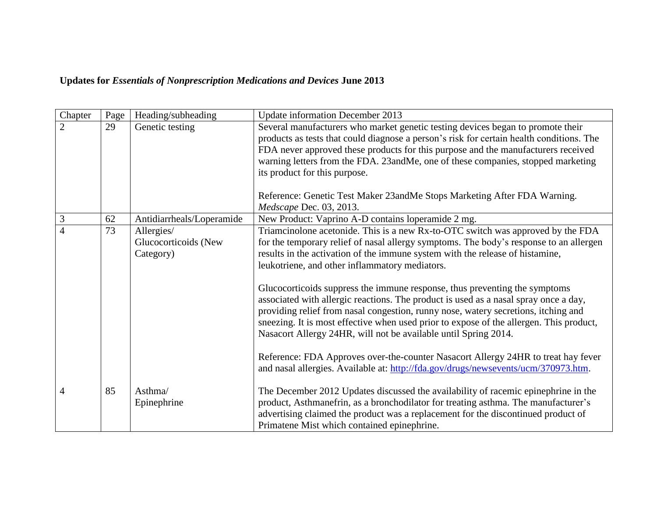## **Updates for** *Essentials of Nonprescription Medications and Devices* **June 2013**

| Chapter        | Page | Heading/subheading        | <b>Update information December 2013</b>                                                                                                                                                                                                                                                                                                                                                                                |
|----------------|------|---------------------------|------------------------------------------------------------------------------------------------------------------------------------------------------------------------------------------------------------------------------------------------------------------------------------------------------------------------------------------------------------------------------------------------------------------------|
| $\overline{2}$ | 29   | Genetic testing           | Several manufacturers who market genetic testing devices began to promote their                                                                                                                                                                                                                                                                                                                                        |
|                |      |                           | products as tests that could diagnose a person's risk for certain health conditions. The                                                                                                                                                                                                                                                                                                                               |
|                |      |                           | FDA never approved these products for this purpose and the manufacturers received                                                                                                                                                                                                                                                                                                                                      |
|                |      |                           | warning letters from the FDA. 23andMe, one of these companies, stopped marketing                                                                                                                                                                                                                                                                                                                                       |
|                |      |                           | its product for this purpose.                                                                                                                                                                                                                                                                                                                                                                                          |
|                |      |                           | Reference: Genetic Test Maker 23andMe Stops Marketing After FDA Warning.                                                                                                                                                                                                                                                                                                                                               |
|                |      |                           | Medscape Dec. 03, 2013.                                                                                                                                                                                                                                                                                                                                                                                                |
| 3              | 62   | Antidiarrheals/Loperamide | New Product: Vaprino A-D contains loperamide 2 mg.                                                                                                                                                                                                                                                                                                                                                                     |
| $\overline{4}$ | 73   | Allergies/                | Triamcinolone acetonide. This is a new Rx-to-OTC switch was approved by the FDA                                                                                                                                                                                                                                                                                                                                        |
|                |      | Glucocorticoids (New      | for the temporary relief of nasal allergy symptoms. The body's response to an allergen                                                                                                                                                                                                                                                                                                                                 |
|                |      | Category)                 | results in the activation of the immune system with the release of histamine,                                                                                                                                                                                                                                                                                                                                          |
|                |      |                           | leukotriene, and other inflammatory mediators.                                                                                                                                                                                                                                                                                                                                                                         |
|                |      |                           | Glucocorticoids suppress the immune response, thus preventing the symptoms<br>associated with allergic reactions. The product is used as a nasal spray once a day,<br>providing relief from nasal congestion, runny nose, watery secretions, itching and<br>sneezing. It is most effective when used prior to expose of the allergen. This product,<br>Nasacort Allergy 24HR, will not be available until Spring 2014. |
|                |      |                           | Reference: FDA Approves over-the-counter Nasacort Allergy 24HR to treat hay fever<br>and nasal allergies. Available at: http://fda.gov/drugs/newsevents/ucm/370973.htm.                                                                                                                                                                                                                                                |
| 4              | 85   | Asthma/                   | The December 2012 Updates discussed the availability of racemic epinephrine in the                                                                                                                                                                                                                                                                                                                                     |
|                |      | Epinephrine               | product, Asthmanefrin, as a bronchodilator for treating asthma. The manufacturer's                                                                                                                                                                                                                                                                                                                                     |
|                |      |                           | advertising claimed the product was a replacement for the discontinued product of                                                                                                                                                                                                                                                                                                                                      |
|                |      |                           | Primatene Mist which contained epinephrine.                                                                                                                                                                                                                                                                                                                                                                            |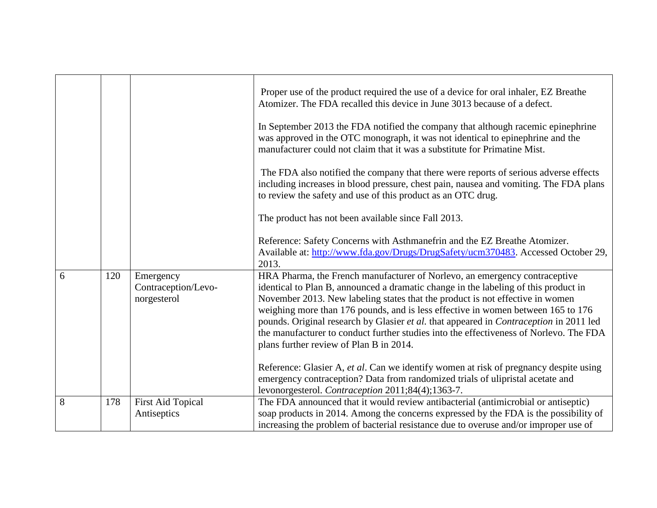|            | Proper use of the product required the use of a device for oral inhaler, EZ Breathe<br>Atomizer. The FDA recalled this device in June 3013 because of a defect.<br>In September 2013 the FDA notified the company that although racemic epinephrine<br>was approved in the OTC monograph, it was not identical to epinephrine and the<br>manufacturer could not claim that it was a substitute for Primatine Mist.<br>The FDA also notified the company that there were reports of serious adverse effects<br>including increases in blood pressure, chest pain, nausea and vomiting. The FDA plans<br>to review the safety and use of this product as an OTC drug.<br>The product has not been available since Fall 2013. |
|------------|----------------------------------------------------------------------------------------------------------------------------------------------------------------------------------------------------------------------------------------------------------------------------------------------------------------------------------------------------------------------------------------------------------------------------------------------------------------------------------------------------------------------------------------------------------------------------------------------------------------------------------------------------------------------------------------------------------------------------|
|            | Reference: Safety Concerns with Asthmanefrin and the EZ Breathe Atomizer.                                                                                                                                                                                                                                                                                                                                                                                                                                                                                                                                                                                                                                                  |
|            | Available at: http://www.fda.gov/Drugs/DrugSafety/ucm370483. Accessed October 29,                                                                                                                                                                                                                                                                                                                                                                                                                                                                                                                                                                                                                                          |
|            | 2013.                                                                                                                                                                                                                                                                                                                                                                                                                                                                                                                                                                                                                                                                                                                      |
|            | HRA Pharma, the French manufacturer of Norlevo, an emergency contraceptive<br>identical to Plan B, announced a dramatic change in the labeling of this product in                                                                                                                                                                                                                                                                                                                                                                                                                                                                                                                                                          |
|            | November 2013. New labeling states that the product is not effective in women                                                                                                                                                                                                                                                                                                                                                                                                                                                                                                                                                                                                                                              |
|            | weighing more than 176 pounds, and is less effective in women between 165 to 176                                                                                                                                                                                                                                                                                                                                                                                                                                                                                                                                                                                                                                           |
|            | pounds. Original research by Glasier et al. that appeared in Contraception in 2011 led                                                                                                                                                                                                                                                                                                                                                                                                                                                                                                                                                                                                                                     |
|            | the manufacturer to conduct further studies into the effectiveness of Norlevo. The FDA                                                                                                                                                                                                                                                                                                                                                                                                                                                                                                                                                                                                                                     |
|            | plans further review of Plan B in 2014.                                                                                                                                                                                                                                                                                                                                                                                                                                                                                                                                                                                                                                                                                    |
|            |                                                                                                                                                                                                                                                                                                                                                                                                                                                                                                                                                                                                                                                                                                                            |
|            | Reference: Glasier A, et al. Can we identify women at risk of pregnancy despite using                                                                                                                                                                                                                                                                                                                                                                                                                                                                                                                                                                                                                                      |
|            | emergency contraception? Data from randomized trials of ulipristal acetate and                                                                                                                                                                                                                                                                                                                                                                                                                                                                                                                                                                                                                                             |
|            | levonorgesterol. Contraception 2011;84(4);1363-7.<br>The FDA announced that it would review antibacterial (antimicrobial or antiseptic)                                                                                                                                                                                                                                                                                                                                                                                                                                                                                                                                                                                    |
|            | soap products in 2014. Among the concerns expressed by the FDA is the possibility of                                                                                                                                                                                                                                                                                                                                                                                                                                                                                                                                                                                                                                       |
|            | increasing the problem of bacterial resistance due to overuse and/or improper use of                                                                                                                                                                                                                                                                                                                                                                                                                                                                                                                                                                                                                                       |
| 120<br>178 | Emergency<br>Contraception/Levo-<br>norgesterol<br><b>First Aid Topical</b><br>Antiseptics                                                                                                                                                                                                                                                                                                                                                                                                                                                                                                                                                                                                                                 |